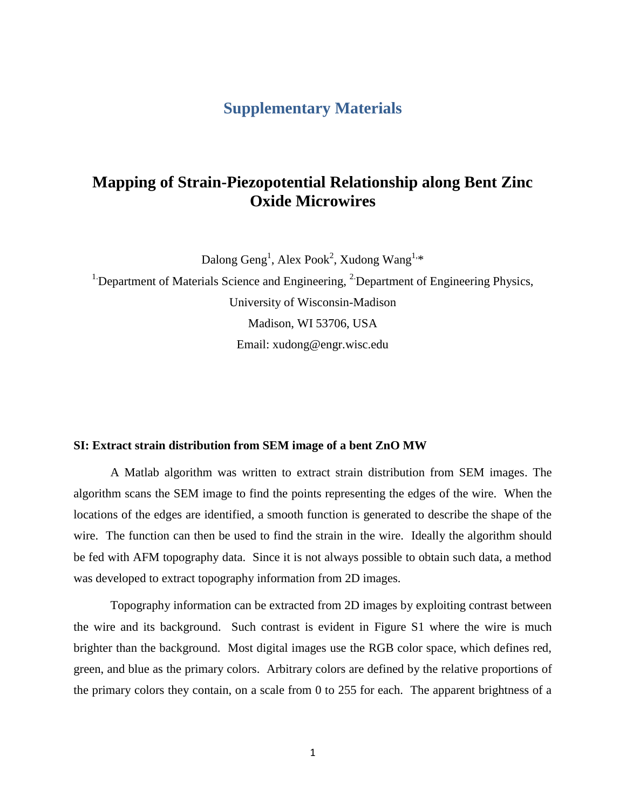## **Supplementary Materials**

# **Mapping of Strain-Piezopotential Relationship along Bent Zinc Oxide Microwires**

Dalong Geng<sup>1</sup>, Alex Pook<sup>2</sup>, Xudong Wang<sup>1,\*</sup>

<sup>1</sup> Department of Materials Science and Engineering,  ${}^{2}$  Department of Engineering Physics, University of Wisconsin-Madison Madison, WI 53706, USA Email: xudong@engr.wisc.edu

#### **SI: Extract strain distribution from SEM image of a bent ZnO MW**

A Matlab algorithm was written to extract strain distribution from SEM images. The algorithm scans the SEM image to find the points representing the edges of the wire. When the locations of the edges are identified, a smooth function is generated to describe the shape of the wire. The function can then be used to find the strain in the wire. Ideally the algorithm should be fed with AFM topography data. Since it is not always possible to obtain such data, a method was developed to extract topography information from 2D images.

Topography information can be extracted from 2D images by exploiting contrast between the wire and its background. Such contrast is evident in Figure S1 where the wire is much brighter than the background. Most digital images use the RGB color space, which defines red, green, and blue as the primary colors. Arbitrary colors are defined by the relative proportions of the primary colors they contain, on a scale from 0 to 255 for each. The apparent brightness of a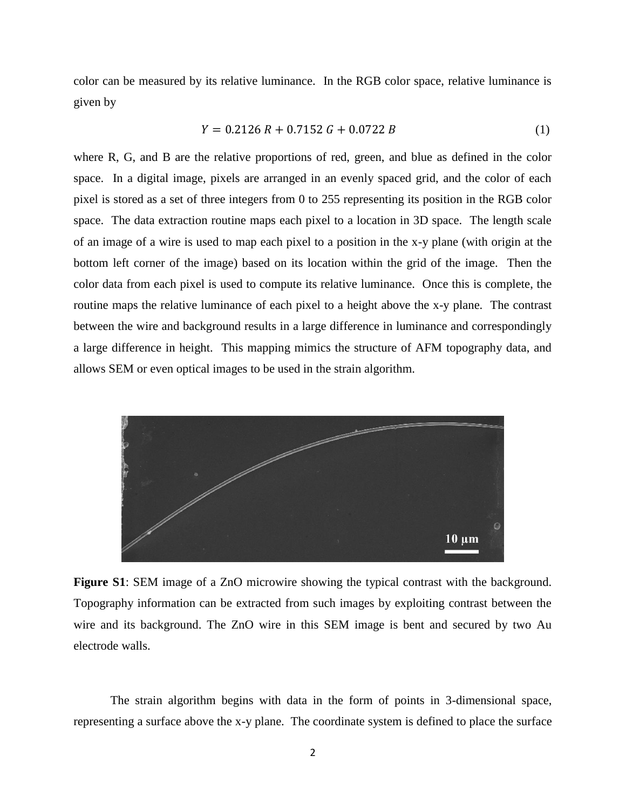color can be measured by its relative luminance. In the RGB color space, relative luminance is given by

$$
Y = 0.2126 R + 0.7152 G + 0.0722 B \tag{1}
$$

where R, G, and B are the relative proportions of red, green, and blue as defined in the color space. In a digital image, pixels are arranged in an evenly spaced grid, and the color of each pixel is stored as a set of three integers from 0 to 255 representing its position in the RGB color space. The data extraction routine maps each pixel to a location in 3D space. The length scale of an image of a wire is used to map each pixel to a position in the x-y plane (with origin at the bottom left corner of the image) based on its location within the grid of the image. Then the color data from each pixel is used to compute its relative luminance. Once this is complete, the routine maps the relative luminance of each pixel to a height above the x-y plane. The contrast between the wire and background results in a large difference in luminance and correspondingly a large difference in height. This mapping mimics the structure of AFM topography data, and allows SEM or even optical images to be used in the strain algorithm.



**Figure S1**: SEM image of a ZnO microwire showing the typical contrast with the background. Topography information can be extracted from such images by exploiting contrast between the wire and its background. The ZnO wire in this SEM image is bent and secured by two Au electrode walls.

The strain algorithm begins with data in the form of points in 3-dimensional space, representing a surface above the x-y plane. The coordinate system is defined to place the surface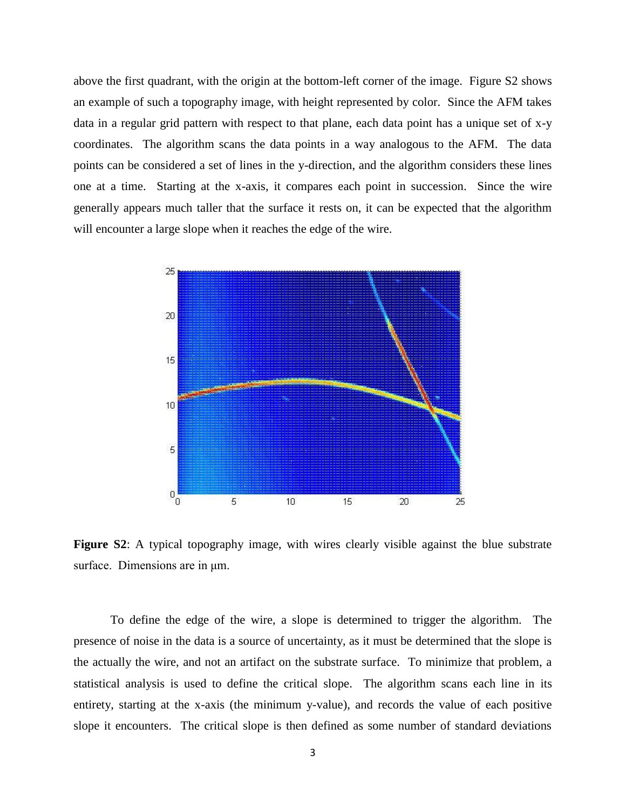above the first quadrant, with the origin at the bottom-left corner of the image. Figure S2 shows an example of such a topography image, with height represented by color. Since the AFM takes data in a regular grid pattern with respect to that plane, each data point has a unique set of x-y coordinates. The algorithm scans the data points in a way analogous to the AFM. The data points can be considered a set of lines in the y-direction, and the algorithm considers these lines one at a time. Starting at the x-axis, it compares each point in succession. Since the wire generally appears much taller that the surface it rests on, it can be expected that the algorithm will encounter a large slope when it reaches the edge of the wire.



**Figure S2**: A typical topography image, with wires clearly visible against the blue substrate surface. Dimensions are in μm.

To define the edge of the wire, a slope is determined to trigger the algorithm. The presence of noise in the data is a source of uncertainty, as it must be determined that the slope is the actually the wire, and not an artifact on the substrate surface. To minimize that problem, a statistical analysis is used to define the critical slope. The algorithm scans each line in its entirety, starting at the x-axis (the minimum y-value), and records the value of each positive slope it encounters. The critical slope is then defined as some number of standard deviations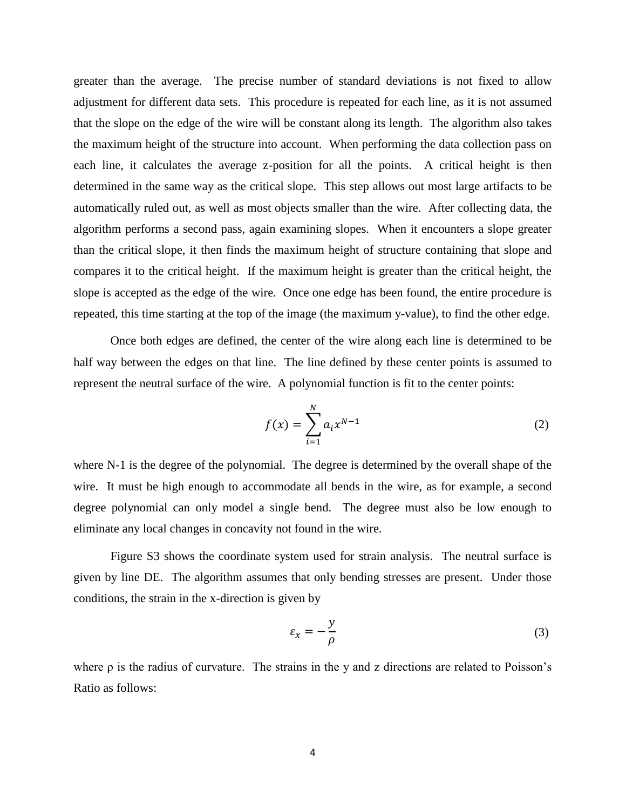greater than the average. The precise number of standard deviations is not fixed to allow adjustment for different data sets. This procedure is repeated for each line, as it is not assumed that the slope on the edge of the wire will be constant along its length. The algorithm also takes the maximum height of the structure into account. When performing the data collection pass on each line, it calculates the average z-position for all the points. A critical height is then determined in the same way as the critical slope. This step allows out most large artifacts to be automatically ruled out, as well as most objects smaller than the wire. After collecting data, the algorithm performs a second pass, again examining slopes. When it encounters a slope greater than the critical slope, it then finds the maximum height of structure containing that slope and compares it to the critical height. If the maximum height is greater than the critical height, the slope is accepted as the edge of the wire. Once one edge has been found, the entire procedure is repeated, this time starting at the top of the image (the maximum y-value), to find the other edge.

Once both edges are defined, the center of the wire along each line is determined to be half way between the edges on that line. The line defined by these center points is assumed to represent the neutral surface of the wire. A polynomial function is fit to the center points:

$$
f(x) = \sum_{i=1}^{N} a_i x^{N-1}
$$
 (2)

where N-1 is the degree of the polynomial. The degree is determined by the overall shape of the wire. It must be high enough to accommodate all bends in the wire, as for example, a second degree polynomial can only model a single bend. The degree must also be low enough to eliminate any local changes in concavity not found in the wire.

Figure S3 shows the coordinate system used for strain analysis. The neutral surface is given by line DE. The algorithm assumes that only bending stresses are present. Under those conditions, the strain in the x-direction is given by

$$
\varepsilon_x = -\frac{y}{\rho} \tag{3}
$$

where  $\rho$  is the radius of curvature. The strains in the y and z directions are related to Poisson's Ratio as follows: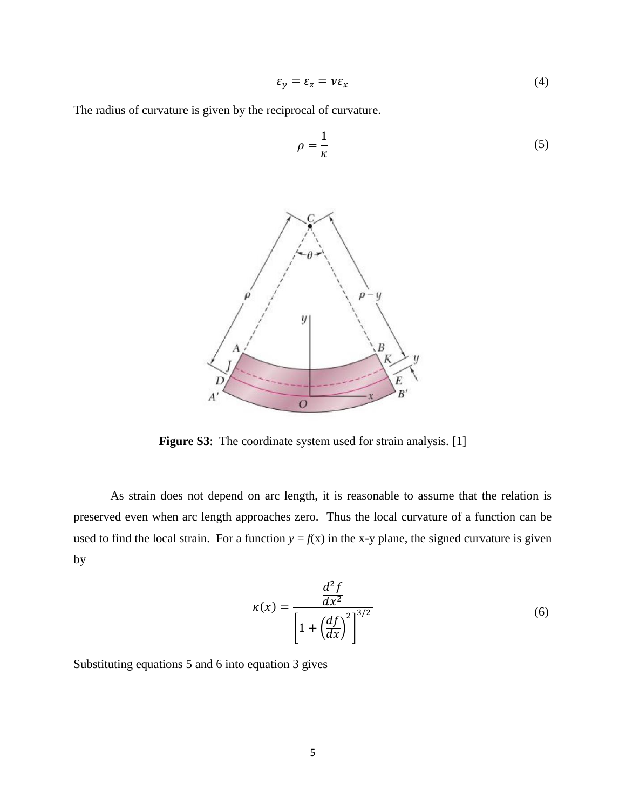$$
\varepsilon_y = \varepsilon_z = v \varepsilon_x \tag{4}
$$

The radius of curvature is given by the reciprocal of curvature.



**Figure S3**: The coordinate system used for strain analysis. [1]

As strain does not depend on arc length, it is reasonable to assume that the relation is preserved even when arc length approaches zero. Thus the local curvature of a function can be used to find the local strain. For a function  $y = f(x)$  in the x-y plane, the signed curvature is given by

$$
\kappa(x) = \frac{\frac{d^2 f}{dx^2}}{\left[1 + \left(\frac{df}{dx}\right)^2\right]^{3/2}}
$$
(6)

Substituting equations 5 and 6 into equation 3 gives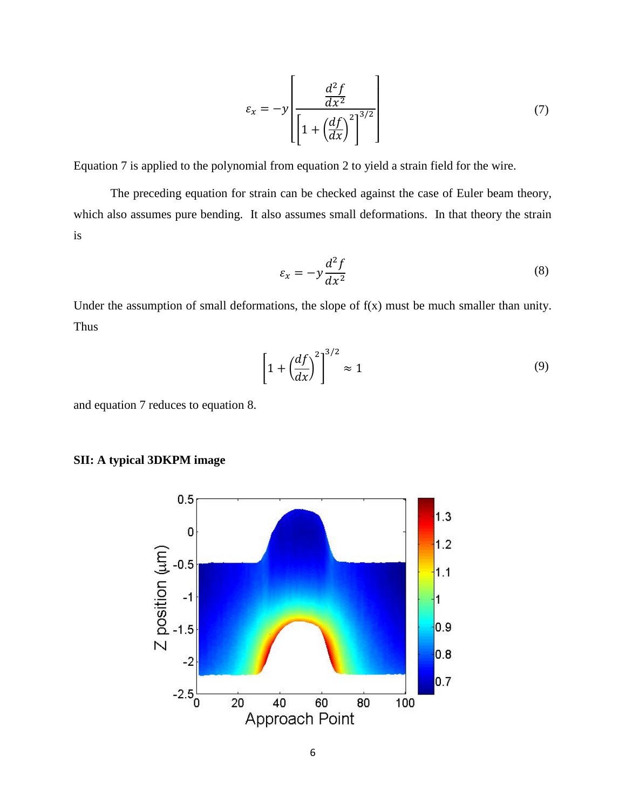$$
\varepsilon_x = -y \left[ \frac{\frac{d^2 f}{dx^2}}{\left[ 1 + \left( \frac{df}{dx} \right)^2 \right]^{3/2}} \right] \tag{7}
$$

Equation 7 is applied to the polynomial from equation 2 to yield a strain field for the wire.

The preceding equation for strain can be checked against the case of Euler beam theory, which also assumes pure bending. It also assumes small deformations. In that theory the strain is

$$
\varepsilon_x = -y \frac{d^2 f}{dx^2} \tag{8}
$$

Under the assumption of small deformations, the slope of  $f(x)$  must be much smaller than unity. Thus

$$
\left[1 + \left(\frac{df}{dx}\right)^2\right]^{3/2} \approx 1\tag{9}
$$

and equation 7 reduces to equation 8.



### **SII: A typical 3DKPM image**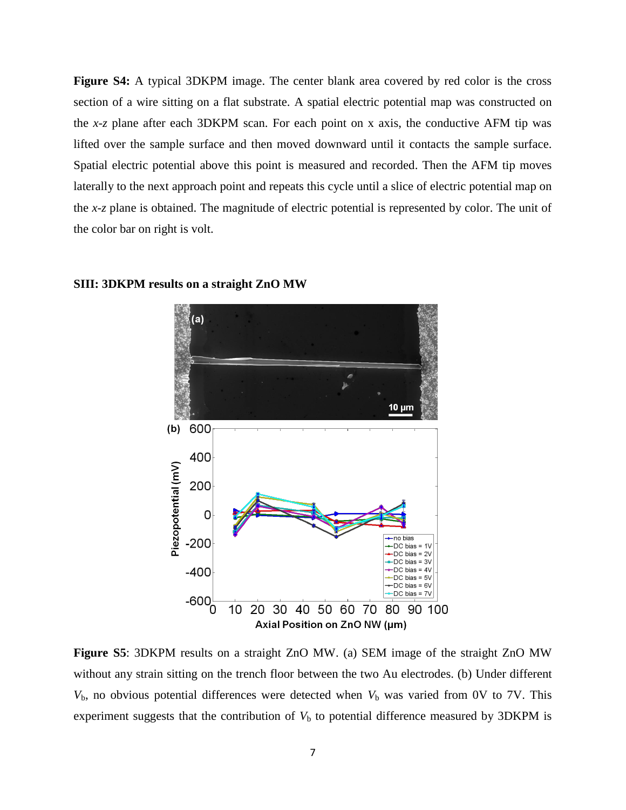**Figure S4:** A typical 3DKPM image. The center blank area covered by red color is the cross section of a wire sitting on a flat substrate. A spatial electric potential map was constructed on the *x-z* plane after each 3DKPM scan. For each point on x axis, the conductive AFM tip was lifted over the sample surface and then moved downward until it contacts the sample surface. Spatial electric potential above this point is measured and recorded. Then the AFM tip moves laterally to the next approach point and repeats this cycle until a slice of electric potential map on the *x-z* plane is obtained. The magnitude of electric potential is represented by color. The unit of the color bar on right is volt.



**SIII: 3DKPM results on a straight ZnO MW**

**Figure S5**: 3DKPM results on a straight ZnO MW. (a) SEM image of the straight ZnO MW without any strain sitting on the trench floor between the two Au electrodes. (b) Under different  $V<sub>b</sub>$ , no obvious potential differences were detected when  $V<sub>b</sub>$  was varied from 0V to 7V. This experiment suggests that the contribution of  $V<sub>b</sub>$  to potential difference measured by 3DKPM is